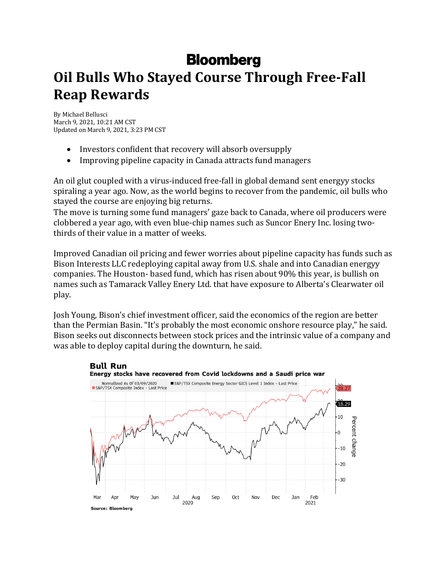## **Bloomberg**

## **Oil Bulls Who Stayed Course Through Free-Fall Reap Rewards**

By Michael Bellusci March 9, 2021, 10:21 AM CST Updated on March 9, 2021, 3:23 PM CST

- Investors confident that recovery will absorb oversupply
- Improving pipeline capacity in Canada attracts fund managers

An oil glut coupled with a virus-induced free-fall in global demand sent energyy stocks spiraling a year ago. Now, as the world begins to recover from the pandemic, oil bulls who stayed the course are enjoying big returns.

The move is turning some fund managers' gaze back to Canada, where oil producers were clobbered a year ago, with even blue-chip names such as Suncor Enery Inc. losing twothirds of their value in a matter of weeks.

Improved Canadian oil pricing and fewer worries about pipeline capacity has funds such as Bison Interests LLC redeploying capital away from U.S. shale and into Canadian energyy companies. The Houston- based fund, which has risen about 90% this year, is bullish on names such as Tamarack Valley Enery Ltd. that have exposure to Alberta's Clearwater oil play. 

Josh Young, Bison's chief investment officer, said the economics of the region are better than the Permian Basin. "It's probably the most economic onshore resource play," he said. Bison seeks out disconnects between stock prices and the intrinsic value of a company and was able to deploy capital during the downturn, he said.